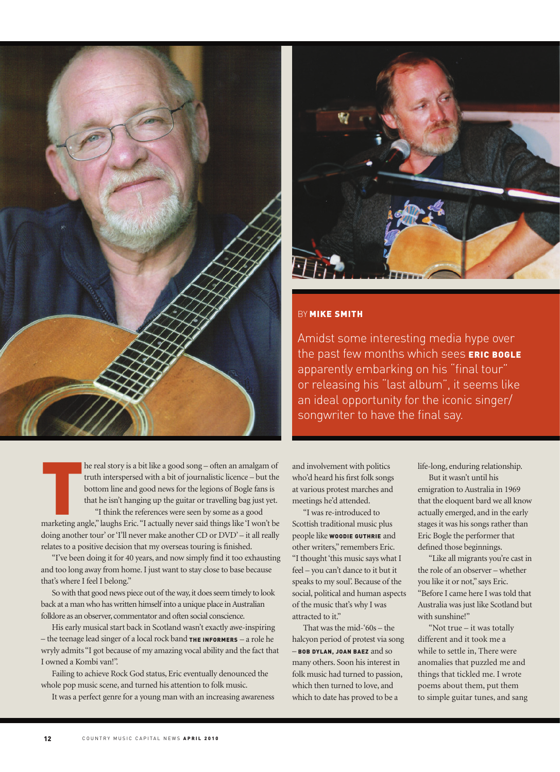

## **BY MIKE SMITH**

Amidst some interesting media hype over the past few months which sees ERIC BOGLE apparently embarking on his "final tour" or releasing his "last album", it seems like an ideal opportunity for the iconic singer/ songwriter to have the final say.

In the real story is a bit like a good song – often an amalgam of<br>truth interspersed with a bit of journalistic licence – but the<br>bottom line and good news for the legions of Bogle fans is<br>that he isn't hanging up the guit he real story is a bit like a good song – often an amalgam of truth interspersed with a bit of journalistic licence – but the bottom line and good news for the legions of Bogle fans is that he isn't hanging up the guitar or travelling bag just yet. "I think the references were seen by some as a good

doing another tour' or 'I'll never make another CD or DVD' – it all really relates to a positive decision that my overseas touring is finished.

"I've been doing it for 40 years, and now simply find it too exhausting and too long away from home. I just want to stay close to base because that's where I feel I belong."

So with that good news piece out of the way, it does seem timely to look back at a man who has written himself into a unique place in Australian folklore as an observer, commentator and often social conscience.

His early musical start back in Scotland wasn't exactly awe-inspiring - the teenage lead singer of a local rock band THE INFORMERS - a role he wryly admits "I got because of my amazing vocal ability and the fact that I owned a Kombi van!".

Failing to achieve Rock God status, Eric eventually denounced the whole pop music scene, and turned his attention to folk music.

It was a perfect genre for a young man with an increasing awareness

and involvement with politics who'd heard his first folk songs at various protest marches and meetings he'd attended.

"I was re-introduced to Scottish traditional music plus people like WOODIE GUTHRIE and other writers," remembers Eric. "I thought 'this music says what I feel – you can't dance to it but it speaks to my soul'. Because of the social, political and human aspects of the music that's why I was attracted to it."

That was the mid-'60s – the halcyon period of protest via song – BOB DYLAN, JOAN BAEZ and so many others. Soon his interest in folk music had turned to passion, which then turned to love, and which to date has proved to be a

life-long, enduring relationship.

But it wasn't until his emigration to Australia in 1969 that the eloquent bard we all know actually emerged, and in the early stages it was his songs rather than Eric Bogle the performer that defined those beginnings.

"Like all migrants you're cast in the role of an observer – whether you like it or not," says Eric. "Before I came here I was told that Australia was just like Scotland but with sunshine!"

"Not true – it was totally different and it took me a while to settle in, There were anomalies that puzzled me and things that tickled me. I wrote poems about them, put them to simple guitar tunes, and sang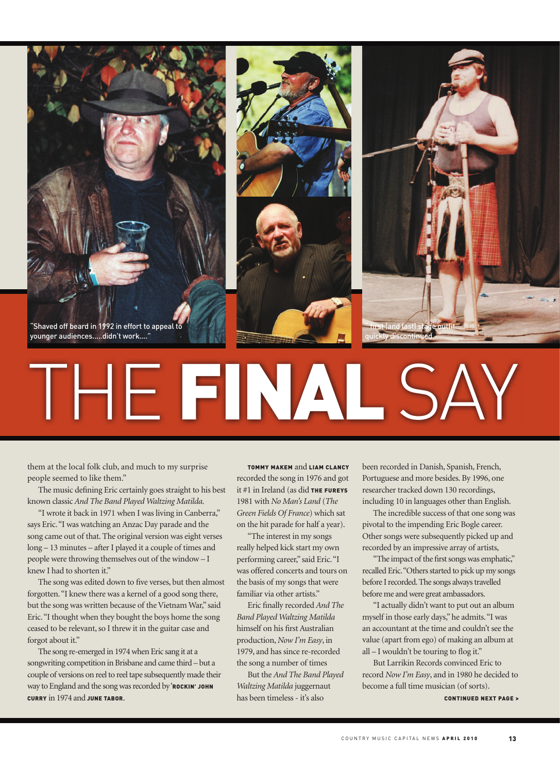

them at the local folk club, and much to my surprise people seemed to like them."

The music defining Eric certainly goes straight to his best known classic *And The Band Played Waltzing Matilda*.

"I wrote it back in 1971 when I was living in Canberra," says Eric. "I was watching an Anzac Day parade and the song came out of that. The original version was eight verses long – 13 minutes – after I played it a couple of times and people were throwing themselves out of the window – I knew I had to shorten it."

The song was edited down to five verses, but then almost forgotten. "I knew there was a kernel of a good song there, but the song was written because of the Vietnam War," said Eric. "I thought when they bought the boys home the song ceased to be relevant, so I threw it in the guitar case and forgot about it."

The song re-emerged in 1974 when Eric sang it at a songwriting competition in Brisbane and came third – but a couple of versions on reel to reel tape subsequently made their way to England and the song was recorded by 'ROCKIN' JOHN CURRY in 1974 and JUNE TABOR.

TOMMY MAKEM and LIAM CLANCY recorded the song in 1976 and got it  $#1$  in Ireland (as did THE FUREYS 1981 with *No Man's Land* (*The Green Fields Of France*) which sat on the hit parade for half a year).

"The interest in my songs really helped kick start my own performing career," said Eric. "I was offered concerts and tours on the basis of my songs that were familiar via other artists."

Eric finally recorded *And The Band Played Waltzing Matilda*  himself on his first Australian production, *Now I'm Easy*, in 1979, and has since re-recorded the song a number of times

But the *And The Band Played Waltzing Matilda* juggernaut has been timeless - it's also

been recorded in Danish, Spanish, French, Portuguese and more besides. By 1996, one researcher tracked down 130 recordings, including 10 in languages other than English.

The incredible success of that one song was pivotal to the impending Eric Bogle career. Other songs were subsequently picked up and recorded by an impressive array of artists,

"The impact of the first songs was emphatic," recalled Eric. "Others started to pick up my songs before I recorded. The songs always travelled before me and were great ambassadors.

"I actually didn't want to put out an album myself in those early days," he admits. "I was an accountant at the time and couldn't see the value (apart from ego) of making an album at  $all - I$  wouldn't be touring to flog it."

But Larrikin Records convinced Eric to record *Now I'm Easy*, and in 1980 he decided to become a full time musician (of sorts).

CONTINUED NEXT PAGE >